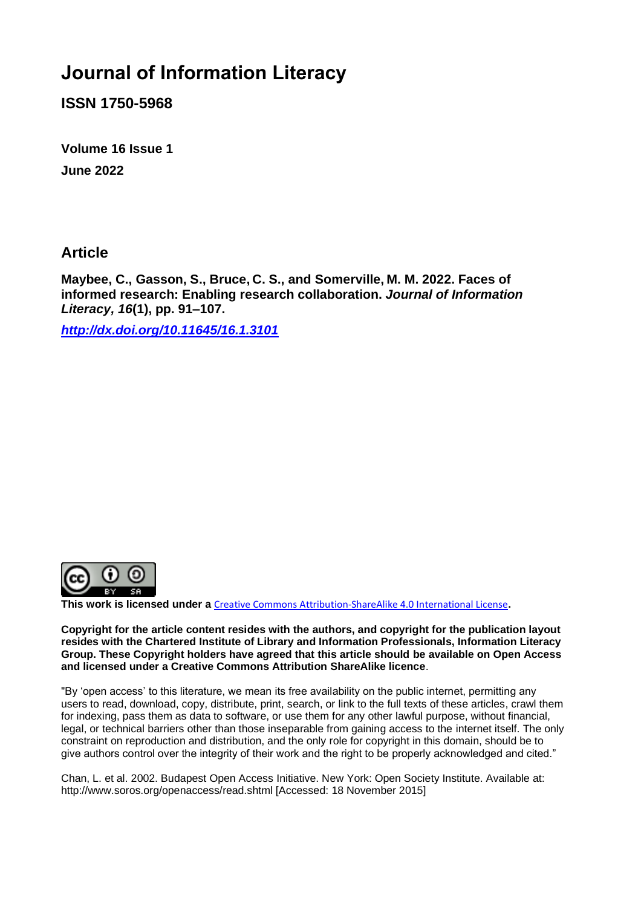# **Journal of Information Literacy**

**ISSN 1750-5968**

**Volume 16 Issue 1 June 2022**

**Article**

**Maybee, C., Gasson, S., Bruce, C. S., and Somerville, M. M. 2022. Faces of informed research: Enabling research collaboration.** *Journal of Information Literacy, 16***(1), pp. 91–107.**

*<http://dx.doi.org/10.11645/16.1.3101>*



**This work is licensed under a** [Creative Commons Attribution-ShareAlike 4.0 International License](http://creativecommons.org/licenses/by-sa/4.0/)**.**

**Copyright for the article content resides with the authors, and copyright for the publication layout resides with the Chartered Institute of Library and Information Professionals, Information Literacy Group. These Copyright holders have agreed that this article should be available on Open Access and licensed under a Creative Commons Attribution ShareAlike licence**.

"By 'open access' to this literature, we mean its free availability on the public internet, permitting any users to read, download, copy, distribute, print, search, or link to the full texts of these articles, crawl them for indexing, pass them as data to software, or use them for any other lawful purpose, without financial, legal, or technical barriers other than those inseparable from gaining access to the internet itself. The only constraint on reproduction and distribution, and the only role for copyright in this domain, should be to give authors control over the integrity of their work and the right to be properly acknowledged and cited."

Chan, L. et al. 2002. Budapest Open Access Initiative. New York: Open Society Institute. Available at: http://www.soros.org/openaccess/read.shtml [Accessed: 18 November 2015]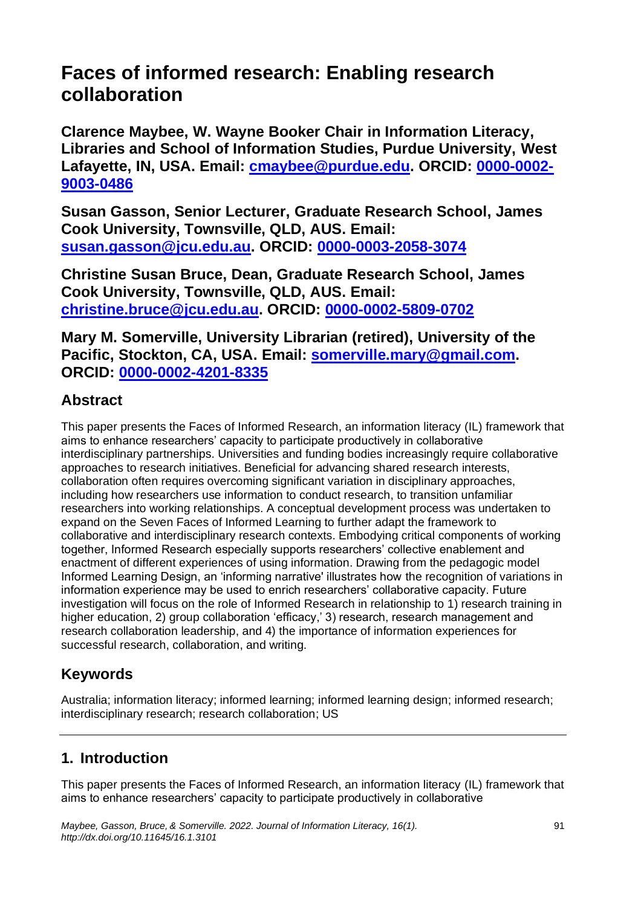# **Faces of informed research: Enabling research collaboration**

**Clarence Maybee, W. Wayne Booker Chair in Information Literacy, Libraries and School of Information Studies, Purdue University, West Lafayette, IN, USA. Email: [cmaybee@purdue.edu.](mailto:cmaybee@purdue.edu) ORCID: [0000-0002-](https://orcid.org/0000-0002-9003-0486) [9003-0486](https://orcid.org/0000-0002-9003-0486)**

**Susan Gasson, Senior Lecturer, Graduate Research School, James Cook University, Townsville, QLD, AUS. Email: [susan.gasson@jcu.edu.au.](mailto:susan.gasson@jcu.edu.au) ORCID: [0000-0003-2058-3074](https://orcid.org/0000-0003-2058-3074)**

**Christine Susan Bruce, Dean, Graduate Research School, James Cook University, Townsville, QLD, AUS. Email: [christine.bruce@jcu.edu.au.](mailto:christine.bruce@jcu.edu.au) ORCID: [0000-0002-5809-0702](https://orcid.org/0000-0002-5809-0702)**

**Mary M. Somerville, University Librarian (retired), University of the Pacific, Stockton, CA, USA. Email: [somerville.mary@gmail.com.](mailto:somerville.mary@gmail.com) ORCID: [0000-0002-4201-8335](https://orcid.org/0000-0002-4201-8335)**

# **Abstract**

This paper presents the Faces of Informed Research, an information literacy (IL) framework that aims to enhance researchers' capacity to participate productively in collaborative interdisciplinary partnerships. Universities and funding bodies increasingly require collaborative approaches to research initiatives. Beneficial for advancing shared research interests, collaboration often requires overcoming significant variation in disciplinary approaches, including how researchers use information to conduct research, to transition unfamiliar researchers into working relationships. A conceptual development process was undertaken to expand on the Seven Faces of Informed Learning to further adapt the framework to collaborative and interdisciplinary research contexts. Embodying critical components of working together, Informed Research especially supports researchers' collective enablement and enactment of different experiences of using information. Drawing from the pedagogic model Informed Learning Design, an 'informing narrative' illustrates how the recognition of variations in information experience may be used to enrich researchers' collaborative capacity. Future investigation will focus on the role of Informed Research in relationship to 1) research training in higher education, 2) group collaboration 'efficacy,' 3) research, research management and research collaboration leadership, and 4) the importance of information experiences for successful research, collaboration, and writing.

# **Keywords**

Australia; information literacy; informed learning; informed learning design; informed research; interdisciplinary research; research collaboration; US

# **1. Introduction**

This paper presents the Faces of Informed Research, an information literacy (IL) framework that aims to enhance researchers' capacity to participate productively in collaborative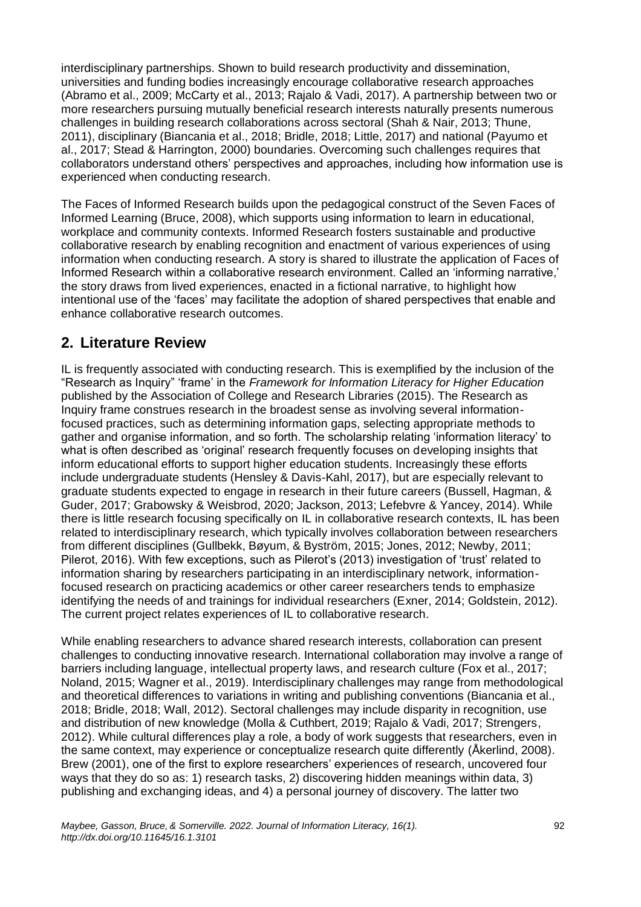interdisciplinary partnerships. Shown to build research productivity and dissemination, universities and funding bodies increasingly encourage collaborative research approaches (Abramo et al., 2009; McCarty et al., 2013; Rajalo & Vadi, 2017). A partnership between two or more researchers pursuing mutually beneficial research interests naturally presents numerous challenges in building research collaborations across sectoral (Shah & Nair, 2013; Thune, 2011), disciplinary (Biancania et al., 2018; Bridle, 2018; Little, 2017) and national (Payumo et al., 2017; Stead & Harrington, 2000) boundaries. Overcoming such challenges requires that collaborators understand others' perspectives and approaches, including how information use is experienced when conducting research.

The Faces of Informed Research builds upon the pedagogical construct of the Seven Faces of Informed Learning (Bruce, 2008), which supports using information to learn in educational, workplace and community contexts. Informed Research fosters sustainable and productive collaborative research by enabling recognition and enactment of various experiences of using information when conducting research. A story is shared to illustrate the application of Faces of Informed Research within a collaborative research environment. Called an 'informing narrative,' the story draws from lived experiences, enacted in a fictional narrative, to highlight how intentional use of the 'faces' may facilitate the adoption of shared perspectives that enable and enhance collaborative research outcomes.

## **2. Literature Review**

IL is frequently associated with conducting research. This is exemplified by the inclusion of the "Research as Inquiry" 'frame' in the *Framework for Information Literacy for Higher Education*  published by the Association of College and Research Libraries (2015). The Research as Inquiry frame construes research in the broadest sense as involving several informationfocused practices, such as determining information gaps, selecting appropriate methods to gather and organise information, and so forth. The scholarship relating 'information literacy' to what is often described as 'original' research frequently focuses on developing insights that inform educational efforts to support higher education students. Increasingly these efforts include undergraduate students (Hensley & Davis-Kahl, 2017), but are especially relevant to graduate students expected to engage in research in their future careers (Bussell, Hagman, & Guder, 2017; Grabowsky & Weisbrod, 2020; Jackson, 2013; Lefebvre & Yancey, 2014). While there is little research focusing specifically on IL in collaborative research contexts, IL has been related to interdisciplinary research, which typically involves collaboration between researchers from different disciplines (Gullbekk, Bøyum, & Byström, 2015; Jones, 2012; Newby, 2011; Pilerot, 2016). With few exceptions, such as Pilerot's (2013) investigation of 'trust' related to information sharing by researchers participating in an interdisciplinary network, informationfocused research on practicing academics or other career researchers tends to emphasize identifying the needs of and trainings for individual researchers (Exner, 2014; Goldstein, 2012). The current project relates experiences of IL to collaborative research.

While enabling researchers to advance shared research interests, collaboration can present challenges to conducting innovative research. International collaboration may involve a range of barriers including language, intellectual property laws, and research culture (Fox et al., 2017; Noland, 2015; Wagner et al., 2019). Interdisciplinary challenges may range from methodological and theoretical differences to variations in writing and publishing conventions (Biancania et al., 2018; Bridle, 2018; Wall, 2012). Sectoral challenges may include disparity in recognition, use and distribution of new knowledge (Molla & Cuthbert, 2019; Rajalo & Vadi, 2017; Strengers, 2012). While cultural differences play a role, a body of work suggests that researchers, even in the same context, may experience or conceptualize research quite differently (Åkerlind, 2008). Brew (2001), one of the first to explore researchers' experiences of research, uncovered four ways that they do so as: 1) research tasks, 2) discovering hidden meanings within data, 3) publishing and exchanging ideas, and 4) a personal journey of discovery. The latter two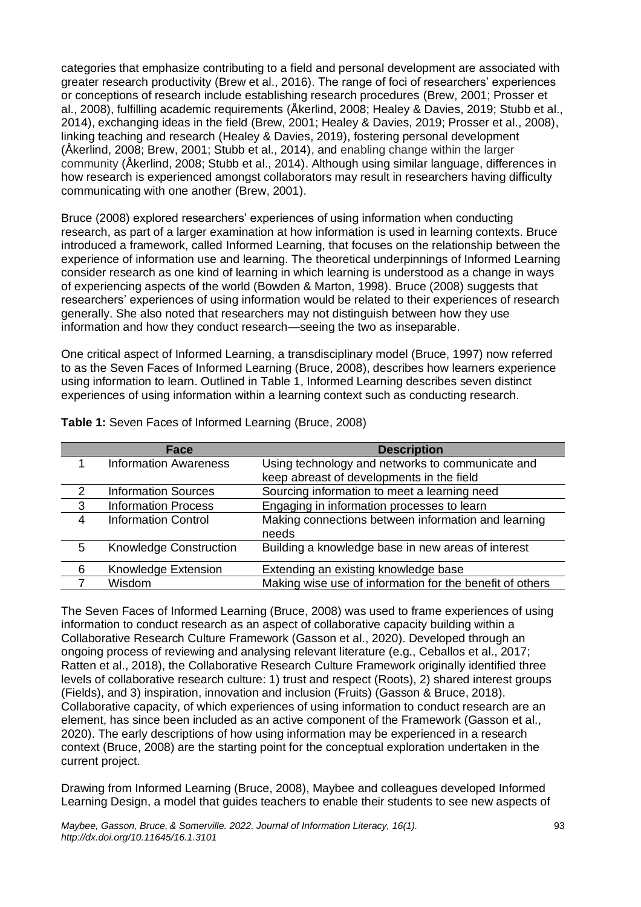categories that emphasize contributing to a field and personal development are associated with greater research productivity (Brew et al., 2016). The range of foci of researchers' experiences or conceptions of research include establishing research procedures (Brew, 2001; Prosser et al., 2008), fulfilling academic requirements (Åkerlind, 2008; Healey & Davies, 2019; Stubb et al., 2014), exchanging ideas in the field (Brew, 2001; Healey & Davies, 2019; Prosser et al., 2008), linking teaching and research (Healey & Davies, 2019), fostering personal development (Åkerlind, 2008; Brew, 2001; Stubb et al., 2014), and enabling change within the larger community (Åkerlind, 2008; Stubb et al., 2014). Although using similar language, differences in how research is experienced amongst collaborators may result in researchers having difficulty communicating with one another (Brew, 2001).

Bruce (2008) explored researchers' experiences of using information when conducting research, as part of a larger examination at how information is used in learning contexts. Bruce introduced a framework, called Informed Learning, that focuses on the relationship between the experience of information use and learning. The theoretical underpinnings of Informed Learning consider research as one kind of learning in which learning is understood as a change in ways of experiencing aspects of the world (Bowden & Marton, 1998). Bruce (2008) suggests that researchers' experiences of using information would be related to their experiences of research generally. She also noted that researchers may not distinguish between how they use information and how they conduct research—seeing the two as inseparable.

One critical aspect of Informed Learning, a transdisciplinary model (Bruce, 1997) now referred to as the Seven Faces of Informed Learning (Bruce, 2008), describes how learners experience using information to learn. Outlined in Table 1, Informed Learning describes seven distinct experiences of using information within a learning context such as conducting research.

|                         | Face                          | <b>Description</b>                                       |
|-------------------------|-------------------------------|----------------------------------------------------------|
| 1                       | <b>Information Awareness</b>  | Using technology and networks to communicate and         |
|                         |                               | keep abreast of developments in the field                |
| 2                       | <b>Information Sources</b>    | Sourcing information to meet a learning need             |
| $\overline{\mathbf{3}}$ | <b>Information Process</b>    | Engaging in information processes to learn               |
| 4                       | <b>Information Control</b>    | Making connections between information and learning      |
|                         |                               | needs                                                    |
| 5                       | <b>Knowledge Construction</b> | Building a knowledge base in new areas of interest       |
| 6                       | Knowledge Extension           | Extending an existing knowledge base                     |
|                         | Wisdom                        | Making wise use of information for the benefit of others |

**Table 1:** Seven Faces of Informed Learning (Bruce, 2008)

The Seven Faces of Informed Learning (Bruce, 2008) was used to frame experiences of using information to conduct research as an aspect of collaborative capacity building within a Collaborative Research Culture Framework (Gasson et al., 2020). Developed through an ongoing process of reviewing and analysing relevant literature (e.g., Ceballos et al., 2017; Ratten et al., 2018), the Collaborative Research Culture Framework originally identified three levels of collaborative research culture: 1) trust and respect (Roots), 2) shared interest groups (Fields), and 3) inspiration, innovation and inclusion (Fruits) (Gasson & Bruce, 2018). Collaborative capacity, of which experiences of using information to conduct research are an element, has since been included as an active component of the Framework (Gasson et al., 2020). The early descriptions of how using information may be experienced in a research context (Bruce, 2008) are the starting point for the conceptual exploration undertaken in the current project.

Drawing from Informed Learning (Bruce, 2008), Maybee and colleagues developed Informed Learning Design, a model that guides teachers to enable their students to see new aspects of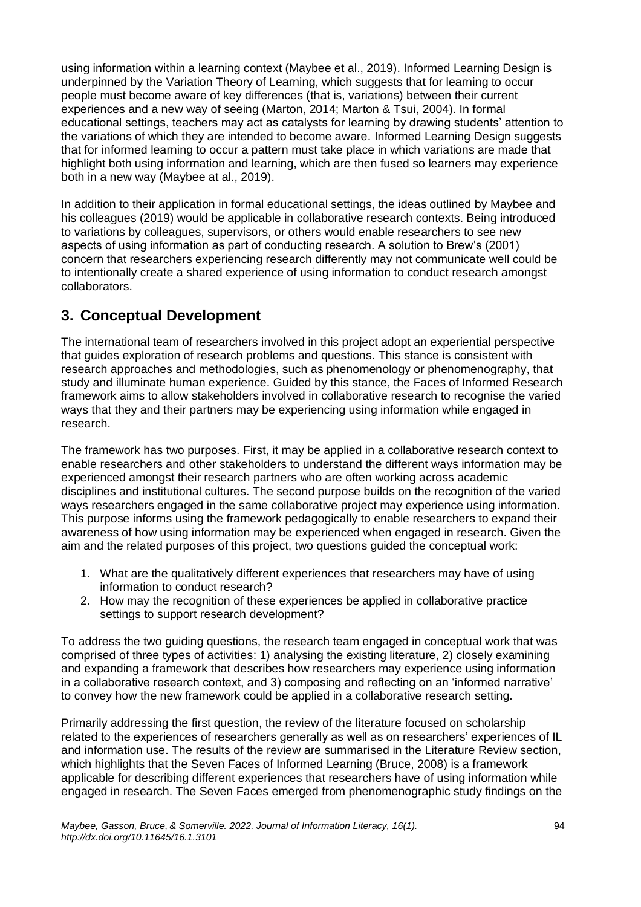using information within a learning context (Maybee et al., 2019). Informed Learning Design is underpinned by the Variation Theory of Learning, which suggests that for learning to occur people must become aware of key differences (that is, variations) between their current experiences and a new way of seeing (Marton, 2014; Marton & Tsui, 2004). In formal educational settings, teachers may act as catalysts for learning by drawing students' attention to the variations of which they are intended to become aware. Informed Learning Design suggests that for informed learning to occur a pattern must take place in which variations are made that highlight both using information and learning, which are then fused so learners may experience both in a new way (Maybee at al., 2019).

In addition to their application in formal educational settings, the ideas outlined by Maybee and his colleagues (2019) would be applicable in collaborative research contexts. Being introduced to variations by colleagues, supervisors, or others would enable researchers to see new aspects of using information as part of conducting research. A solution to Brew's (2001) concern that researchers experiencing research differently may not communicate well could be to intentionally create a shared experience of using information to conduct research amongst collaborators.

# **3. Conceptual Development**

The international team of researchers involved in this project adopt an experiential perspective that guides exploration of research problems and questions. This stance is consistent with research approaches and methodologies, such as phenomenology or phenomenography, that study and illuminate human experience. Guided by this stance, the Faces of Informed Research framework aims to allow stakeholders involved in collaborative research to recognise the varied ways that they and their partners may be experiencing using information while engaged in research.

The framework has two purposes. First, it may be applied in a collaborative research context to enable researchers and other stakeholders to understand the different ways information may be experienced amongst their research partners who are often working across academic disciplines and institutional cultures. The second purpose builds on the recognition of the varied ways researchers engaged in the same collaborative project may experience using information. This purpose informs using the framework pedagogically to enable researchers to expand their awareness of how using information may be experienced when engaged in research. Given the aim and the related purposes of this project, two questions guided the conceptual work:

- 1. What are the qualitatively different experiences that researchers may have of using information to conduct research?
- 2. How may the recognition of these experiences be applied in collaborative practice settings to support research development?

To address the two guiding questions, the research team engaged in conceptual work that was comprised of three types of activities: 1) analysing the existing literature, 2) closely examining and expanding a framework that describes how researchers may experience using information in a collaborative research context, and 3) composing and reflecting on an 'informed narrative' to convey how the new framework could be applied in a collaborative research setting.

Primarily addressing the first question, the review of the literature focused on scholarship related to the experiences of researchers generally as well as on researchers' experiences of IL and information use. The results of the review are summarised in the Literature Review section, which highlights that the Seven Faces of Informed Learning (Bruce, 2008) is a framework applicable for describing different experiences that researchers have of using information while engaged in research. The Seven Faces emerged from phenomenographic study findings on the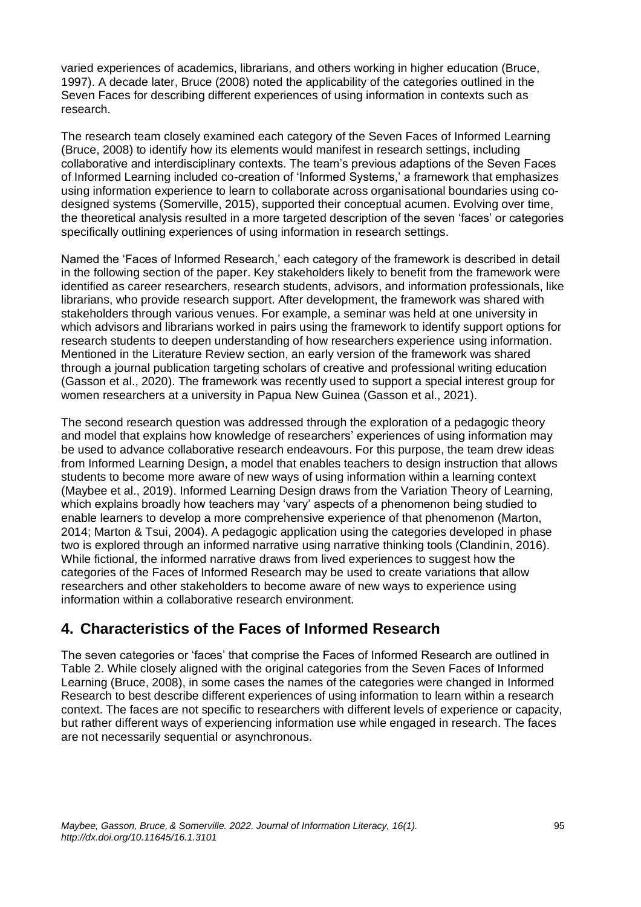varied experiences of academics, librarians, and others working in higher education (Bruce, 1997). A decade later, Bruce (2008) noted the applicability of the categories outlined in the Seven Faces for describing different experiences of using information in contexts such as research.

The research team closely examined each category of the Seven Faces of Informed Learning (Bruce, 2008) to identify how its elements would manifest in research settings, including collaborative and interdisciplinary contexts. The team's previous adaptions of the Seven Faces of Informed Learning included co-creation of 'Informed Systems,' a framework that emphasizes using information experience to learn to collaborate across organisational boundaries using codesigned systems (Somerville, 2015), supported their conceptual acumen. Evolving over time, the theoretical analysis resulted in a more targeted description of the seven 'faces' or categories specifically outlining experiences of using information in research settings.

Named the 'Faces of Informed Research,' each category of the framework is described in detail in the following section of the paper. Key stakeholders likely to benefit from the framework were identified as career researchers, research students, advisors, and information professionals, like librarians, who provide research support. After development, the framework was shared with stakeholders through various venues. For example, a seminar was held at one university in which advisors and librarians worked in pairs using the framework to identify support options for research students to deepen understanding of how researchers experience using information. Mentioned in the Literature Review section, an early version of the framework was shared through a journal publication targeting scholars of creative and professional writing education (Gasson et al., 2020). The framework was recently used to support a special interest group for women researchers at a university in Papua New Guinea (Gasson et al., 2021).

The second research question was addressed through the exploration of a pedagogic theory and model that explains how knowledge of researchers' experiences of using information may be used to advance collaborative research endeavours. For this purpose, the team drew ideas from Informed Learning Design, a model that enables teachers to design instruction that allows students to become more aware of new ways of using information within a learning context (Maybee et al., 2019). Informed Learning Design draws from the Variation Theory of Learning, which explains broadly how teachers may 'vary' aspects of a phenomenon being studied to enable learners to develop a more comprehensive experience of that phenomenon (Marton, 2014; Marton & Tsui, 2004). A pedagogic application using the categories developed in phase two is explored through an informed narrative using narrative thinking tools (Clandinin, 2016). While fictional, the informed narrative draws from lived experiences to suggest how the categories of the Faces of Informed Research may be used to create variations that allow researchers and other stakeholders to become aware of new ways to experience using information within a collaborative research environment.

## **4. Characteristics of the Faces of Informed Research**

The seven categories or 'faces' that comprise the Faces of Informed Research are outlined in Table 2. While closely aligned with the original categories from the Seven Faces of Informed Learning (Bruce, 2008), in some cases the names of the categories were changed in Informed Research to best describe different experiences of using information to learn within a research context. The faces are not specific to researchers with different levels of experience or capacity, but rather different ways of experiencing information use while engaged in research. The faces are not necessarily sequential or asynchronous.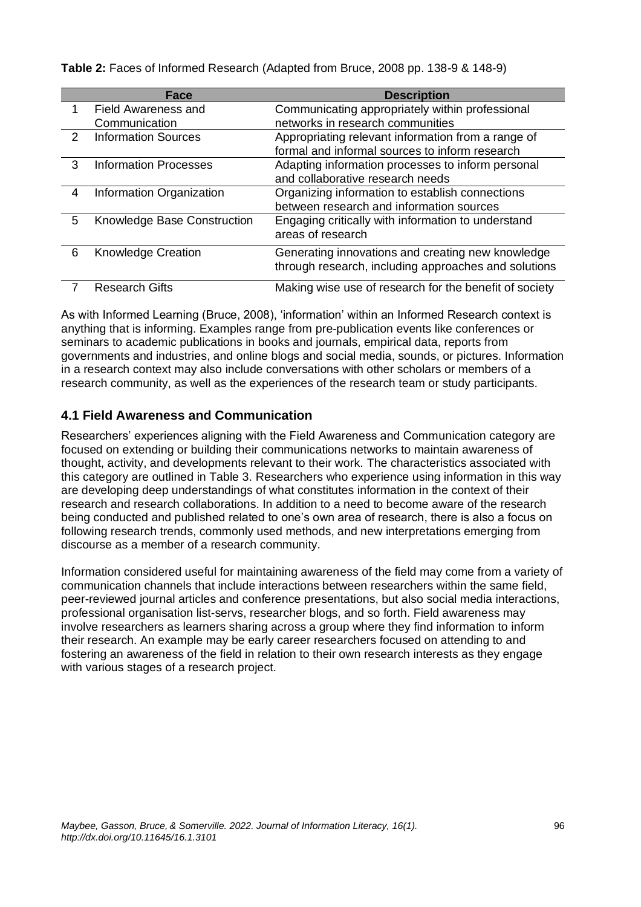**Face Description** 1 Field Awareness and **Communication** Communicating appropriately within professional networks in research communities 2 Information Sources Appropriating relevant information from a range of formal and informal sources to inform research 3 Information Processes Adapting information processes to inform personal and collaborative research needs 4 Information Organization Organizing information to establish connections between research and information sources 5 Knowledge Base Construction Engaging critically with information to understand areas of research 6 Knowledge Creation Generating innovations and creating new knowledge through research, including approaches and solutions 7 Research Gifts **Making wise use of research for the benefit of society** 

**Table 2:** Faces of Informed Research (Adapted from Bruce, 2008 pp. 138-9 & 148-9)

As with Informed Learning (Bruce, 2008), 'information' within an Informed Research context is anything that is informing. Examples range from pre-publication events like conferences or seminars to academic publications in books and journals, empirical data, reports from governments and industries, and online blogs and social media, sounds, or pictures. Information in a research context may also include conversations with other scholars or members of a research community, as well as the experiences of the research team or study participants.

#### **4.1 Field Awareness and Communication**

Researchers' experiences aligning with the Field Awareness and Communication category are focused on extending or building their communications networks to maintain awareness of thought, activity, and developments relevant to their work. The characteristics associated with this category are outlined in Table 3. Researchers who experience using information in this way are developing deep understandings of what constitutes information in the context of their research and research collaborations. In addition to a need to become aware of the research being conducted and published related to one's own area of research, there is also a focus on following research trends, commonly used methods, and new interpretations emerging from discourse as a member of a research community.

Information considered useful for maintaining awareness of the field may come from a variety of communication channels that include interactions between researchers within the same field, peer-reviewed journal articles and conference presentations, but also social media interactions, professional organisation list-servs, researcher blogs, and so forth. Field awareness may involve researchers as learners sharing across a group where they find information to inform their research. An example may be early career researchers focused on attending to and fostering an awareness of the field in relation to their own research interests as they engage with various stages of a research project.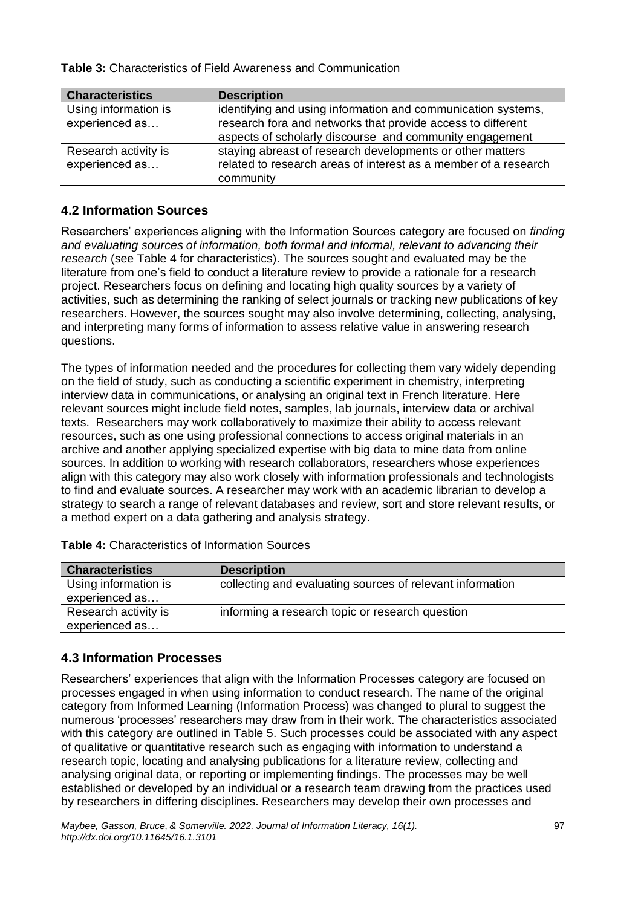**Table 3:** Characteristics of Field Awareness and Communication

| <b>Characteristics</b>                 | <b>Description</b>                                                                                                                                                                     |
|----------------------------------------|----------------------------------------------------------------------------------------------------------------------------------------------------------------------------------------|
| Using information is<br>experienced as | identifying and using information and communication systems,<br>research fora and networks that provide access to different<br>aspects of scholarly discourse and community engagement |
| Research activity is<br>experienced as | staying abreast of research developments or other matters<br>related to research areas of interest as a member of a research                                                           |
|                                        | community                                                                                                                                                                              |

#### **4.2 Information Sources**

Researchers' experiences aligning with the Information Sources category are focused on *finding and evaluating sources of information, both formal and informal, relevant to advancing their research* (see Table 4 for characteristics)*.* The sources sought and evaluated may be the literature from one's field to conduct a literature review to provide a rationale for a research project. Researchers focus on defining and locating high quality sources by a variety of activities, such as determining the ranking of select journals or tracking new publications of key researchers. However, the sources sought may also involve determining, collecting, analysing, and interpreting many forms of information to assess relative value in answering research questions.

The types of information needed and the procedures for collecting them vary widely depending on the field of study, such as conducting a scientific experiment in chemistry, interpreting interview data in communications, or analysing an original text in French literature. Here relevant sources might include field notes, samples, lab journals, interview data or archival texts. Researchers may work collaboratively to maximize their ability to access relevant resources, such as one using professional connections to access original materials in an archive and another applying specialized expertise with big data to mine data from online sources. In addition to working with research collaborators, researchers whose experiences align with this category may also work closely with information professionals and technologists to find and evaluate sources. A researcher may work with an academic librarian to develop a strategy to search a range of relevant databases and review, sort and store relevant results, or a method expert on a data gathering and analysis strategy.

| <b>Characteristics</b>                 | <b>Description</b>                                        |
|----------------------------------------|-----------------------------------------------------------|
| Using information is<br>experienced as | collecting and evaluating sources of relevant information |
| Research activity is<br>experienced as | informing a research topic or research question           |

**Table 4:** Characteristics of Information Sources

#### **4.3 Information Processes**

Researchers' experiences that align with the Information Processes category are focused on processes engaged in when using information to conduct research. The name of the original category from Informed Learning (Information Process) was changed to plural to suggest the numerous 'processes' researchers may draw from in their work. The characteristics associated with this category are outlined in Table 5. Such processes could be associated with any aspect of qualitative or quantitative research such as engaging with information to understand a research topic, locating and analysing publications for a literature review, collecting and analysing original data, or reporting or implementing findings. The processes may be well established or developed by an individual or a research team drawing from the practices used by researchers in differing disciplines. Researchers may develop their own processes and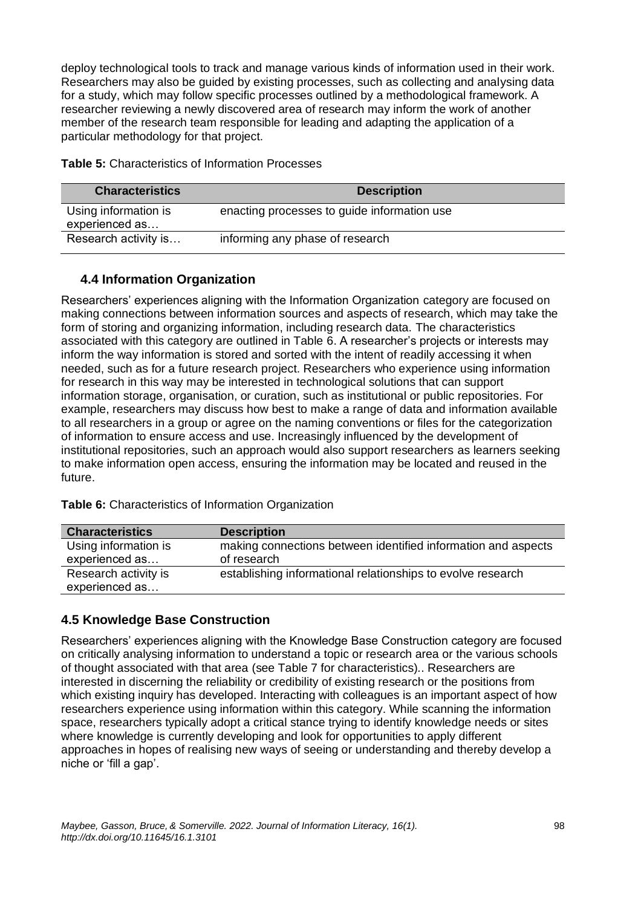deploy technological tools to track and manage various kinds of information used in their work. Researchers may also be guided by existing processes, such as collecting and analysing data for a study, which may follow specific processes outlined by a methodological framework. A researcher reviewing a newly discovered area of research may inform the work of another member of the research team responsible for leading and adapting the application of a particular methodology for that project.

| <b>Characteristics</b>                 | <b>Description</b>                          |
|----------------------------------------|---------------------------------------------|
| Using information is<br>experienced as | enacting processes to guide information use |
| Research activity is                   | informing any phase of research             |

**Table 5:** Characteristics of Information Processes

#### **4.4 Information Organization**

Researchers' experiences aligning with the Information Organization category are focused on making connections between information sources and aspects of research, which may take the form of storing and organizing information, including research data. The characteristics associated with this category are outlined in Table 6. A researcher's projects or interests may inform the way information is stored and sorted with the intent of readily accessing it when needed, such as for a future research project. Researchers who experience using information for research in this way may be interested in technological solutions that can support information storage, organisation, or curation, such as institutional or public repositories. For example, researchers may discuss how best to make a range of data and information available to all researchers in a group or agree on the naming conventions or files for the categorization of information to ensure access and use. Increasingly influenced by the development of institutional repositories, such an approach would also support researchers as learners seeking to make information open access, ensuring the information may be located and reused in the future.

**Table 6:** Characteristics of Information Organization

| <b>Characteristics</b>                 | <b>Description</b>                                                           |
|----------------------------------------|------------------------------------------------------------------------------|
| Using information is<br>experienced as | making connections between identified information and aspects<br>of research |
| Research activity is<br>experienced as | establishing informational relationships to evolve research                  |

#### **4.5 Knowledge Base Construction**

Researchers' experiences aligning with the Knowledge Base Construction category are focused on critically analysing information to understand a topic or research area or the various schools of thought associated with that area (see Table 7 for characteristics)*.*. Researchers are interested in discerning the reliability or credibility of existing research or the positions from which existing inquiry has developed. Interacting with colleagues is an important aspect of how researchers experience using information within this category. While scanning the information space, researchers typically adopt a critical stance trying to identify knowledge needs or sites where knowledge is currently developing and look for opportunities to apply different approaches in hopes of realising new ways of seeing or understanding and thereby develop a niche or 'fill a gap'.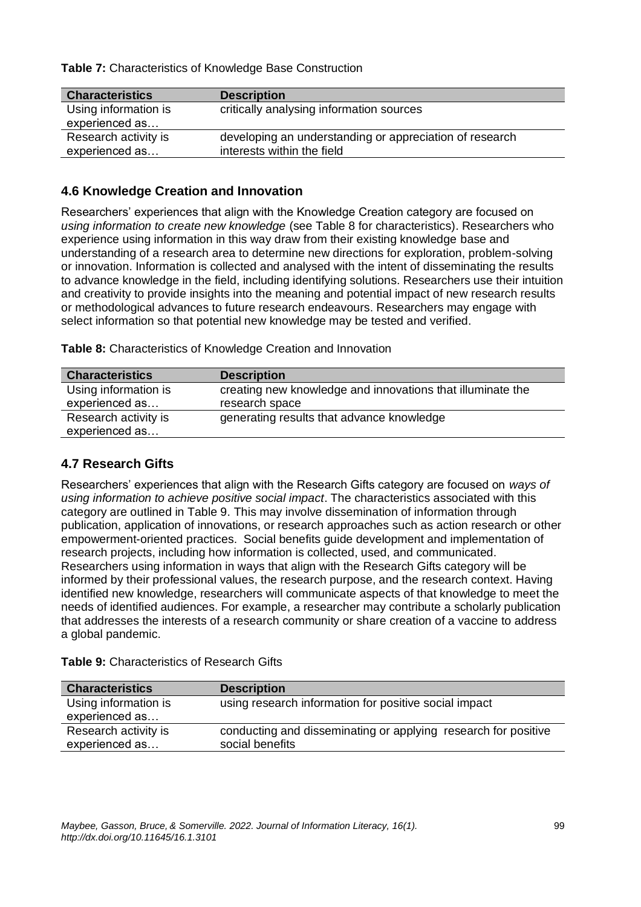**Table 7:** Characteristics of Knowledge Base Construction

| <b>Characteristics</b> | <b>Description</b>                                      |
|------------------------|---------------------------------------------------------|
| Using information is   | critically analysing information sources                |
| experienced as         |                                                         |
| Research activity is   | developing an understanding or appreciation of research |
| experienced as         | interests within the field                              |

#### **4.6 Knowledge Creation and Innovation**

Researchers' experiences that align with the Knowledge Creation category are focused on *using information to create new knowledge* (see Table 8 for characteristics). Researchers who experience using information in this way draw from their existing knowledge base and understanding of a research area to determine new directions for exploration, problem-solving or innovation. Information is collected and analysed with the intent of disseminating the results to advance knowledge in the field, including identifying solutions. Researchers use their intuition and creativity to provide insights into the meaning and potential impact of new research results or methodological advances to future research endeavours. Researchers may engage with select information so that potential new knowledge may be tested and verified.

| Table 8: Characteristics of Knowledge Creation and Innovation |
|---------------------------------------------------------------|
|---------------------------------------------------------------|

| <b>Characteristics</b>                 | <b>Description</b>                                         |
|----------------------------------------|------------------------------------------------------------|
| Using information is                   | creating new knowledge and innovations that illuminate the |
| experienced as                         | research space                                             |
| Research activity is<br>experienced as | generating results that advance knowledge                  |

#### **4.7 Research Gifts**

Researchers' experiences that align with the Research Gifts category are focused on *ways of using information to achieve positive social impact*. The characteristics associated with this category are outlined in Table 9. This may involve dissemination of information through publication, application of innovations, or research approaches such as action research or other empowerment-oriented practices. Social benefits guide development and implementation of research projects, including how information is collected, used, and communicated. Researchers using information in ways that align with the Research Gifts category will be informed by their professional values, the research purpose, and the research context. Having identified new knowledge, researchers will communicate aspects of that knowledge to meet the needs of identified audiences. For example, a researcher may contribute a scholarly publication that addresses the interests of a research community or share creation of a vaccine to address a global pandemic.

| Table 9: Characteristics of Research Gifts |  |  |
|--------------------------------------------|--|--|
|                                            |  |  |

| <b>Characteristics</b>                 | <b>Description</b>                                                                |
|----------------------------------------|-----------------------------------------------------------------------------------|
| Using information is<br>experienced as | using research information for positive social impact                             |
| Research activity is<br>experienced as | conducting and disseminating or applying research for positive<br>social benefits |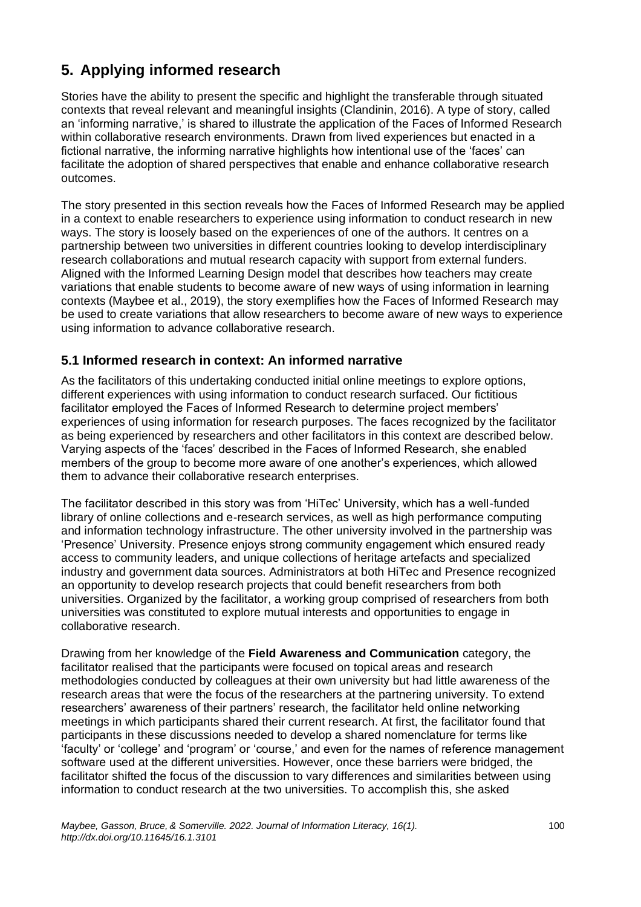# **5. Applying informed research**

Stories have the ability to present the specific and highlight the transferable through situated contexts that reveal relevant and meaningful insights (Clandinin, 2016). A type of story, called an 'informing narrative,' is shared to illustrate the application of the Faces of Informed Research within collaborative research environments. Drawn from lived experiences but enacted in a fictional narrative, the informing narrative highlights how intentional use of the 'faces' can facilitate the adoption of shared perspectives that enable and enhance collaborative research outcomes.

The story presented in this section reveals how the Faces of Informed Research may be applied in a context to enable researchers to experience using information to conduct research in new ways. The story is loosely based on the experiences of one of the authors. It centres on a partnership between two universities in different countries looking to develop interdisciplinary research collaborations and mutual research capacity with support from external funders. Aligned with the Informed Learning Design model that describes how teachers may create variations that enable students to become aware of new ways of using information in learning contexts (Maybee et al., 2019), the story exemplifies how the Faces of Informed Research may be used to create variations that allow researchers to become aware of new ways to experience using information to advance collaborative research.

#### **5.1 Informed research in context: An informed narrative**

As the facilitators of this undertaking conducted initial online meetings to explore options, different experiences with using information to conduct research surfaced. Our fictitious facilitator employed the Faces of Informed Research to determine project members' experiences of using information for research purposes. The faces recognized by the facilitator as being experienced by researchers and other facilitators in this context are described below. Varying aspects of the 'faces' described in the Faces of Informed Research, she enabled members of the group to become more aware of one another's experiences, which allowed them to advance their collaborative research enterprises.

The facilitator described in this story was from 'HiTec' University, which has a well-funded library of online collections and e-research services, as well as high performance computing and information technology infrastructure. The other university involved in the partnership was 'Presence' University. Presence enjoys strong community engagement which ensured ready access to community leaders, and unique collections of heritage artefacts and specialized industry and government data sources. Administrators at both HiTec and Presence recognized an opportunity to develop research projects that could benefit researchers from both universities. Organized by the facilitator, a working group comprised of researchers from both universities was constituted to explore mutual interests and opportunities to engage in collaborative research.

Drawing from her knowledge of the **Field Awareness and Communication** category, the facilitator realised that the participants were focused on topical areas and research methodologies conducted by colleagues at their own university but had little awareness of the research areas that were the focus of the researchers at the partnering university. To extend researchers' awareness of their partners' research, the facilitator held online networking meetings in which participants shared their current research. At first, the facilitator found that participants in these discussions needed to develop a shared nomenclature for terms like 'faculty' or 'college' and 'program' or 'course,' and even for the names of reference management software used at the different universities. However, once these barriers were bridged, the facilitator shifted the focus of the discussion to vary differences and similarities between using information to conduct research at the two universities. To accomplish this, she asked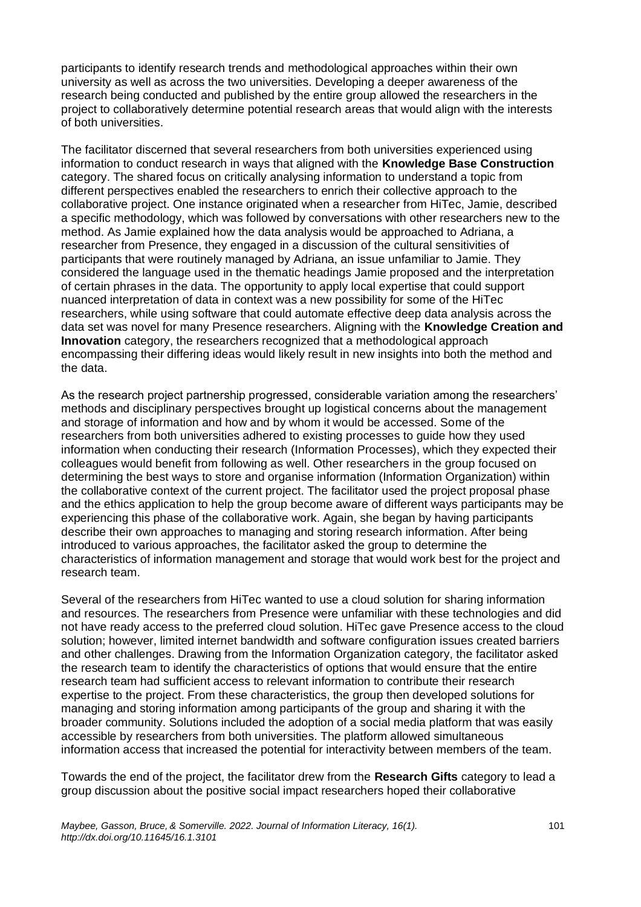participants to identify research trends and methodological approaches within their own university as well as across the two universities. Developing a deeper awareness of the research being conducted and published by the entire group allowed the researchers in the project to collaboratively determine potential research areas that would align with the interests of both universities.

The facilitator discerned that several researchers from both universities experienced using information to conduct research in ways that aligned with the **Knowledge Base Construction** category. The shared focus on critically analysing information to understand a topic from different perspectives enabled the researchers to enrich their collective approach to the collaborative project. One instance originated when a researcher from HiTec, Jamie, described a specific methodology, which was followed by conversations with other researchers new to the method. As Jamie explained how the data analysis would be approached to Adriana, a researcher from Presence, they engaged in a discussion of the cultural sensitivities of participants that were routinely managed by Adriana, an issue unfamiliar to Jamie. They considered the language used in the thematic headings Jamie proposed and the interpretation of certain phrases in the data. The opportunity to apply local expertise that could support nuanced interpretation of data in context was a new possibility for some of the HiTec researchers, while using software that could automate effective deep data analysis across the data set was novel for many Presence researchers. Aligning with the **Knowledge Creation and Innovation** category, the researchers recognized that a methodological approach encompassing their differing ideas would likely result in new insights into both the method and the data.

As the research project partnership progressed, considerable variation among the researchers' methods and disciplinary perspectives brought up logistical concerns about the management and storage of information and how and by whom it would be accessed. Some of the researchers from both universities adhered to existing processes to guide how they used information when conducting their research (Information Processes), which they expected their colleagues would benefit from following as well. Other researchers in the group focused on determining the best ways to store and organise information (Information Organization) within the collaborative context of the current project. The facilitator used the project proposal phase and the ethics application to help the group become aware of different ways participants may be experiencing this phase of the collaborative work. Again, she began by having participants describe their own approaches to managing and storing research information. After being introduced to various approaches, the facilitator asked the group to determine the characteristics of information management and storage that would work best for the project and research team.

Several of the researchers from HiTec wanted to use a cloud solution for sharing information and resources. The researchers from Presence were unfamiliar with these technologies and did not have ready access to the preferred cloud solution. HiTec gave Presence access to the cloud solution; however, limited internet bandwidth and software configuration issues created barriers and other challenges. Drawing from the Information Organization category, the facilitator asked the research team to identify the characteristics of options that would ensure that the entire research team had sufficient access to relevant information to contribute their research expertise to the project. From these characteristics, the group then developed solutions for managing and storing information among participants of the group and sharing it with the broader community. Solutions included the adoption of a social media platform that was easily accessible by researchers from both universities. The platform allowed simultaneous information access that increased the potential for interactivity between members of the team.

Towards the end of the project, the facilitator drew from the **Research Gifts** category to lead a group discussion about the positive social impact researchers hoped their collaborative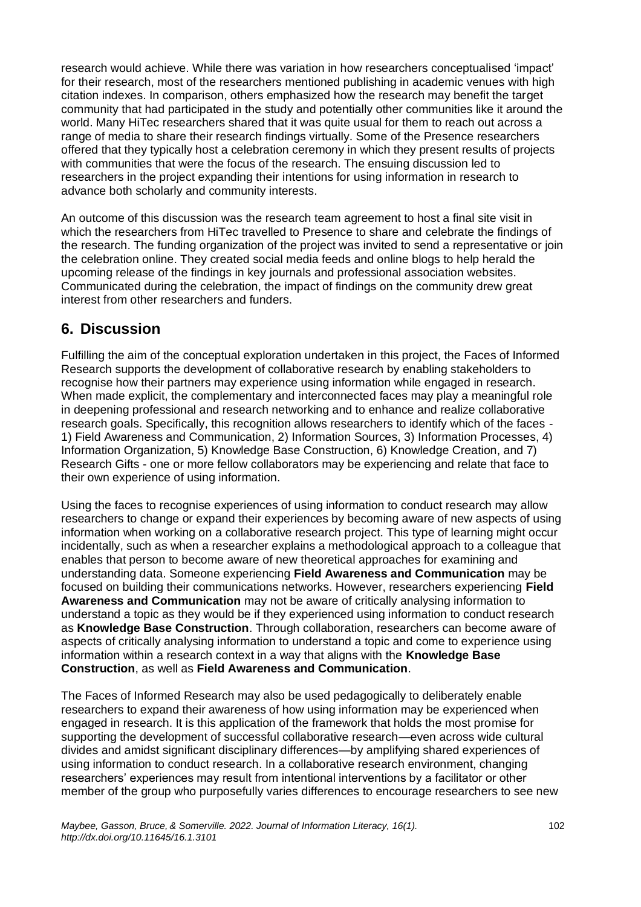research would achieve. While there was variation in how researchers conceptualised 'impact' for their research, most of the researchers mentioned publishing in academic venues with high citation indexes. In comparison, others emphasized how the research may benefit the target community that had participated in the study and potentially other communities like it around the world. Many HiTec researchers shared that it was quite usual for them to reach out across a range of media to share their research findings virtually. Some of the Presence researchers offered that they typically host a celebration ceremony in which they present results of projects with communities that were the focus of the research. The ensuing discussion led to researchers in the project expanding their intentions for using information in research to advance both scholarly and community interests.

An outcome of this discussion was the research team agreement to host a final site visit in which the researchers from HiTec travelled to Presence to share and celebrate the findings of the research. The funding organization of the project was invited to send a representative or join the celebration online. They created social media feeds and online blogs to help herald the upcoming release of the findings in key journals and professional association websites. Communicated during the celebration, the impact of findings on the community drew great interest from other researchers and funders.

## **6. Discussion**

Fulfilling the aim of the conceptual exploration undertaken in this project, the Faces of Informed Research supports the development of collaborative research by enabling stakeholders to recognise how their partners may experience using information while engaged in research. When made explicit, the complementary and interconnected faces may play a meaningful role in deepening professional and research networking and to enhance and realize collaborative research goals. Specifically, this recognition allows researchers to identify which of the faces - 1) Field Awareness and Communication, 2) Information Sources, 3) Information Processes, 4) Information Organization, 5) Knowledge Base Construction, 6) Knowledge Creation, and 7) Research Gifts - one or more fellow collaborators may be experiencing and relate that face to their own experience of using information.

Using the faces to recognise experiences of using information to conduct research may allow researchers to change or expand their experiences by becoming aware of new aspects of using information when working on a collaborative research project. This type of learning might occur incidentally, such as when a researcher explains a methodological approach to a colleague that enables that person to become aware of new theoretical approaches for examining and understanding data. Someone experiencing **Field Awareness and Communication** may be focused on building their communications networks. However, researchers experiencing **Field Awareness and Communication** may not be aware of critically analysing information to understand a topic as they would be if they experienced using information to conduct research as **Knowledge Base Construction**. Through collaboration, researchers can become aware of aspects of critically analysing information to understand a topic and come to experience using information within a research context in a way that aligns with the **Knowledge Base Construction**, as well as **Field Awareness and Communication**.

The Faces of Informed Research may also be used pedagogically to deliberately enable researchers to expand their awareness of how using information may be experienced when engaged in research. It is this application of the framework that holds the most promise for supporting the development of successful collaborative research—even across wide cultural divides and amidst significant disciplinary differences—by amplifying shared experiences of using information to conduct research. In a collaborative research environment, changing researchers' experiences may result from intentional interventions by a facilitator or other member of the group who purposefully varies differences to encourage researchers to see new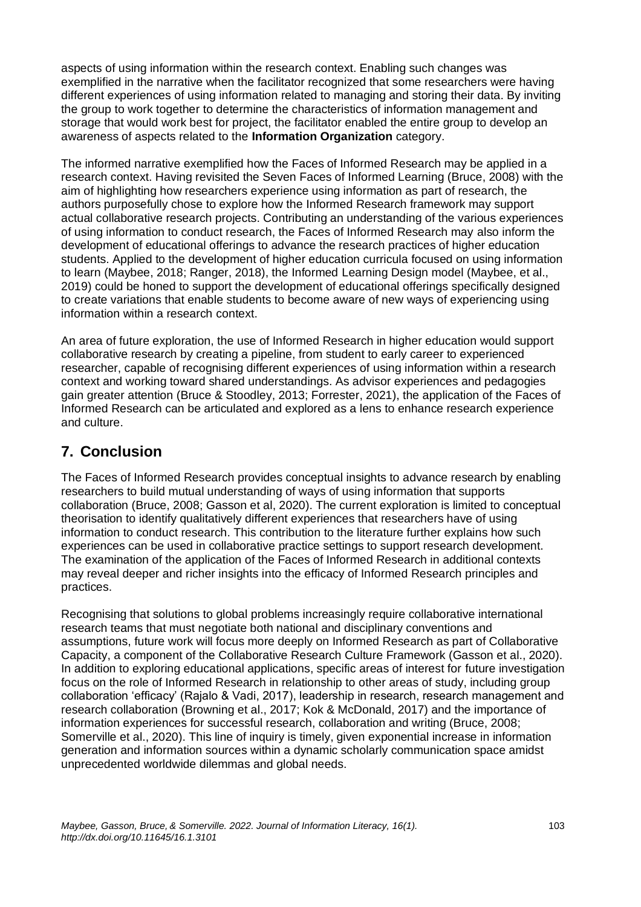aspects of using information within the research context. Enabling such changes was exemplified in the narrative when the facilitator recognized that some researchers were having different experiences of using information related to managing and storing their data. By inviting the group to work together to determine the characteristics of information management and storage that would work best for project, the facilitator enabled the entire group to develop an awareness of aspects related to the **Information Organization** category.

The informed narrative exemplified how the Faces of Informed Research may be applied in a research context. Having revisited the Seven Faces of Informed Learning (Bruce, 2008) with the aim of highlighting how researchers experience using information as part of research, the authors purposefully chose to explore how the Informed Research framework may support actual collaborative research projects. Contributing an understanding of the various experiences of using information to conduct research, the Faces of Informed Research may also inform the development of educational offerings to advance the research practices of higher education students. Applied to the development of higher education curricula focused on using information to learn (Maybee, 2018; Ranger, 2018), the Informed Learning Design model (Maybee, et al., 2019) could be honed to support the development of educational offerings specifically designed to create variations that enable students to become aware of new ways of experiencing using information within a research context.

An area of future exploration, the use of Informed Research in higher education would support collaborative research by creating a pipeline, from student to early career to experienced researcher, capable of recognising different experiences of using information within a research context and working toward shared understandings. As advisor experiences and pedagogies gain greater attention (Bruce & Stoodley, 2013; Forrester, 2021), the application of the Faces of Informed Research can be articulated and explored as a lens to enhance research experience and culture.

# **7. Conclusion**

The Faces of Informed Research provides conceptual insights to advance research by enabling researchers to build mutual understanding of ways of using information that supports collaboration (Bruce, 2008; Gasson et al, 2020). The current exploration is limited to conceptual theorisation to identify qualitatively different experiences that researchers have of using information to conduct research. This contribution to the literature further explains how such experiences can be used in collaborative practice settings to support research development. The examination of the application of the Faces of Informed Research in additional contexts may reveal deeper and richer insights into the efficacy of Informed Research principles and practices.

Recognising that solutions to global problems increasingly require collaborative international research teams that must negotiate both national and disciplinary conventions and assumptions, future work will focus more deeply on Informed Research as part of Collaborative Capacity, a component of the Collaborative Research Culture Framework (Gasson et al., 2020). In addition to exploring educational applications, specific areas of interest for future investigation focus on the role of Informed Research in relationship to other areas of study, including group collaboration 'efficacy' (Rajalo & Vadi, 2017), leadership in research, research management and research collaboration (Browning et al., 2017; Kok & McDonald, 2017) and the importance of information experiences for successful research, collaboration and writing (Bruce, 2008; Somerville et al., 2020). This line of inquiry is timely, given exponential increase in information generation and information sources within a dynamic scholarly communication space amidst unprecedented worldwide dilemmas and global needs.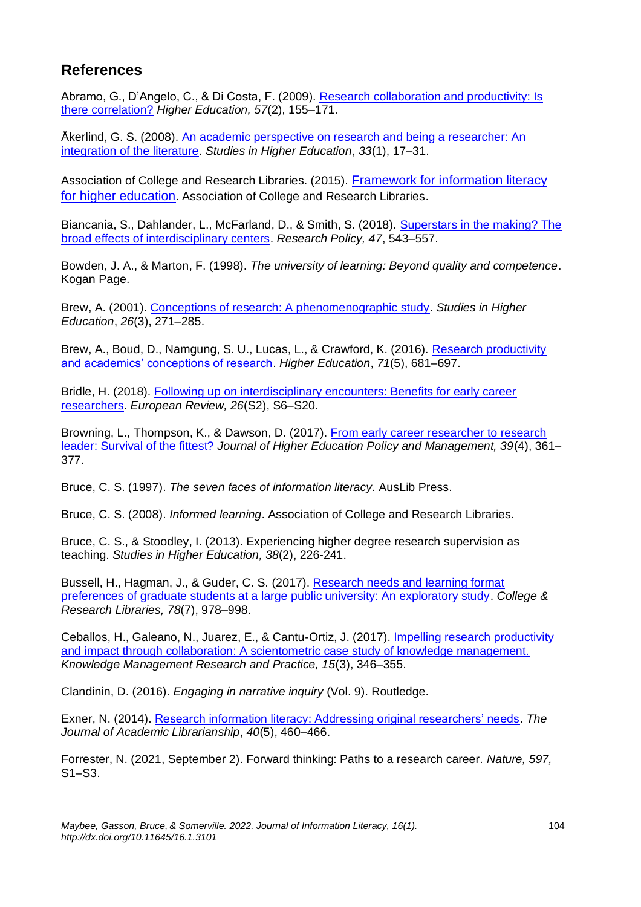# **References**

Abramo, G., D'Angelo, C., & Di Costa, F. (2009). [Research collaboration and productivity: Is](https://doi.org/10.1007/s10734-008-9139-z)  [there correlation?](https://doi.org/10.1007/s10734-008-9139-z) *Higher Education, 57*(2), 155–171.

Åkerlind, G. S. (2008). [An academic perspective on research and being a researcher: An](https://doi.org/10.1080/03075070701794775)  [integration of the literature.](https://doi.org/10.1080/03075070701794775) *Studies in Higher Education*, *33*(1), 17–31.

Association of College and Research Libraries. (2015). [Framework for information literacy](http://www.ala.org/acrl/sites/ala.org.acrl/files/content/issues/infolit/Framework_ILHE.pdf)  [for higher education](http://www.ala.org/acrl/sites/ala.org.acrl/files/content/issues/infolit/Framework_ILHE.pdf). Association of College and Research Libraries.

Biancania, S., Dahlander, L., McFarland, D., & Smith, S. (2018). Superstars in the making? The [broad effects of interdisciplinary centers.](https://doi.org/10.1016/j.respol.2018.01.014) *Research Policy, 47*, 543–557.

Bowden, J. A., & Marton, F. (1998). *The university of learning: Beyond quality and competence*. Kogan Page.

Brew, A. (2001). [Conceptions of research: A phenomenographic study.](https://doi.org/10.1080/03075070120076255) *Studies in Higher Education*, *26*(3), 271–285.

Brew, A., Boud, D., Namgung, S. U., Lucas, L., & Crawford, K. (2016). [Research productivity](https://doi.org/10.1007/s10734-015-9930-6)  [and academics' conceptions of research.](https://doi.org/10.1007/s10734-015-9930-6) *Higher Education*, *71*(5), 681–697.

Bridle, H. (2018). [Following up on interdisciplinary encounters: Benefits for early career](https://doi.org/10.1017/S1062798718000236)  [researchers.](https://doi.org/10.1017/S1062798718000236) *European Review, 26*(S2), S6–S20.

Browning, L., Thompson, K., & Dawson, D. (2017). [From early career researcher to research](https://doi.org/10.1080/1360080X.2017.1330814)  [leader: Survival of the fittest?](https://doi.org/10.1080/1360080X.2017.1330814) *Journal of Higher Education Policy and Management, 39*(4), 361– 377.

Bruce, C. S. (1997). *The seven faces of information literacy.* AusLib Press.

Bruce, C. S. (2008). *Informed learning*. Association of College and Research Libraries.

Bruce, C. S., & Stoodley, I. (2013). Experiencing higher degree research supervision as teaching. *Studies in Higher Education, 38*(2), 226-241.

Bussell, H., Hagman, J., & Guder, C. S. (2017). [Research needs and learning format](https://doi.org/10.5860/crl.78.7.978)  [preferences of graduate students at a large public university: An exploratory study.](https://doi.org/10.5860/crl.78.7.978) *College & Research Libraries, 78*(7), 978–998.

Ceballos, H., Galeano, N., Juarez, E., & Cantu-Ortiz, J. (2017). [Impelling research productivity](https://doi.org/10.1057/s41275-017-0064-8)  [and impact through collaboration: A scientometric case study of knowledge management.](https://doi.org/10.1057/s41275-017-0064-8) *Knowledge Management Research and Practice, 15*(3), 346–355.

Clandinin, D. (2016). *Engaging in narrative inquiry* (Vol. 9). Routledge.

Exner, N. (2014). [Research information literacy: Addressing original researchers' needs.](https://doi.org/10.1016/j.acalib.2014.06.006) *The Journal of Academic Librarianship*, *40*(5), 460–466.

Forrester, N. (2021, September 2). Forward thinking: Paths to a research career. *Nature, 597,* S1–S3.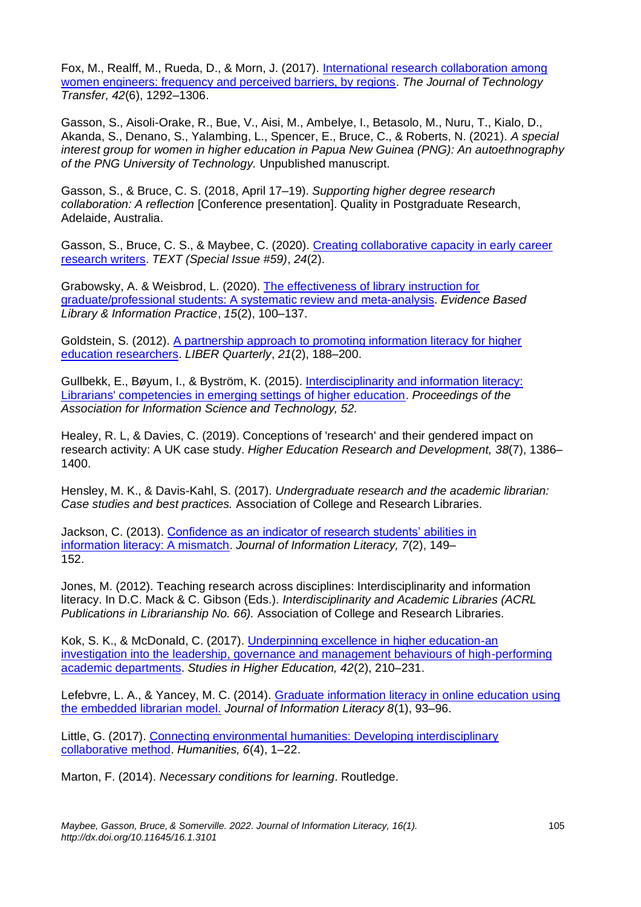Fox, M., Realff, M., Rueda, D., & Morn, J. (2017). [International research collaboration among](https://doi.org/10.1007/s10961-016-9512-5)  [women engineers: frequency and perceived barriers, by regions.](https://doi.org/10.1007/s10961-016-9512-5) *The Journal of Technology Transfer, 42*(6), 1292–1306.

Gasson, S., Aisoli-Orake, R., Bue, V., Aisi, M., Ambelye, I., Betasolo, M., Nuru, T., Kialo, D., Akanda, S., Denano, S., Yalambing, L., Spencer, E., Bruce, C., & Roberts, N. (2021). *A special interest group for women in higher education in Papua New Guinea (PNG): An autoethnography of the PNG University of Technology.* Unpublished manuscript.

Gasson, S., & Bruce, C. S. (2018, April 17–19). *Supporting higher degree research collaboration: A reflection* [Conference presentation]. Quality in Postgraduate Research, Adelaide, Australia.

Gasson, S., Bruce, C. S., & Maybee, C. (2020). Creating collaborative capacity in early career [research writers.](https://www.textjournal.com.au/speciss/issue59/Gasson&Bruce&Maybee.pdf) *TEXT (Special Issue #59)*, *24*(2).

Grabowsky, A. & Weisbrod, L. (2020). [The effectiveness of library instruction for](https://doi.org/10.18438/eblip29657)  [graduate/professional students: A systematic review and meta-analysis.](https://doi.org/10.18438/eblip29657) *Evidence Based Library & Information Practice*, *15*(2), 100–137.

Goldstein, S. (2012). [A partnership approach to promoting information literacy for higher](https://doi.org/10.18352/lq.8018)  [education researchers.](https://doi.org/10.18352/lq.8018) *LIBER Quarterly*, *21*(2), 188–200.

Gullbekk, E., Bøyum, I., & Byström, K. (2015). [Interdisciplinarity and information literacy:](https://doi.org/10.1002/pra2.2015.145052010079)  [Librarians' competencies in emerging settings of higher education.](https://doi.org/10.1002/pra2.2015.145052010079) *Proceedings of the Association for Information Science and Technology, 52.* 

Healey, R. L, & Davies, C. (2019). Conceptions of 'research' and their gendered impact on research activity: A UK case study. *Higher Education Research and Development, 38*(7), 1386– 1400.

Hensley, M. K., & Davis-Kahl, S. (2017). *Undergraduate research and the academic librarian: Case studies and best practices.* Association of College and Research Libraries.

Jackson, C. (2013). [Confidence as an indicator of research students' abilities in](https://doi.org/10.11645/7.2.1848)  [information literacy: A mismatch.](https://doi.org/10.11645/7.2.1848) *Journal of Information Literacy, 7*(2), 149– 152.

Jones, M. (2012). Teaching research across disciplines: Interdisciplinarity and information literacy. In D.C. Mack & C. Gibson (Eds.). *Interdisciplinarity and Academic Libraries (ACRL Publications in Librarianship No. 66).* Association of College and Research Libraries.

Kok, S. K., & McDonald, C. (2017). [Underpinning excellence in higher education-an](https://doi.org/10.1080/03075079.2015.1036849)  [investigation into the leadership, governance and management behaviours of high-performing](https://doi.org/10.1080/03075079.2015.1036849)  [academic departments.](https://doi.org/10.1080/03075079.2015.1036849) *Studies in Higher Education, 42*(2), 210–231.

Lefebvre, L. A., & Yancey, M. C. (2014). [Graduate information literacy in online education using](https://doi.org/10.11645/8.1.1901)  [the embedded librarian model.](https://doi.org/10.11645/8.1.1901) *Journal of Information Literacy 8*(1), 93–96.

Little, G. (2017). [Connecting environmental humanities: Developing interdisciplinary](https://doi.org/10.3390/h6040091)  [collaborative method.](https://doi.org/10.3390/h6040091) *Humanities, 6*(4), 1–22.

Marton, F. (2014). *Necessary conditions for learning*. Routledge.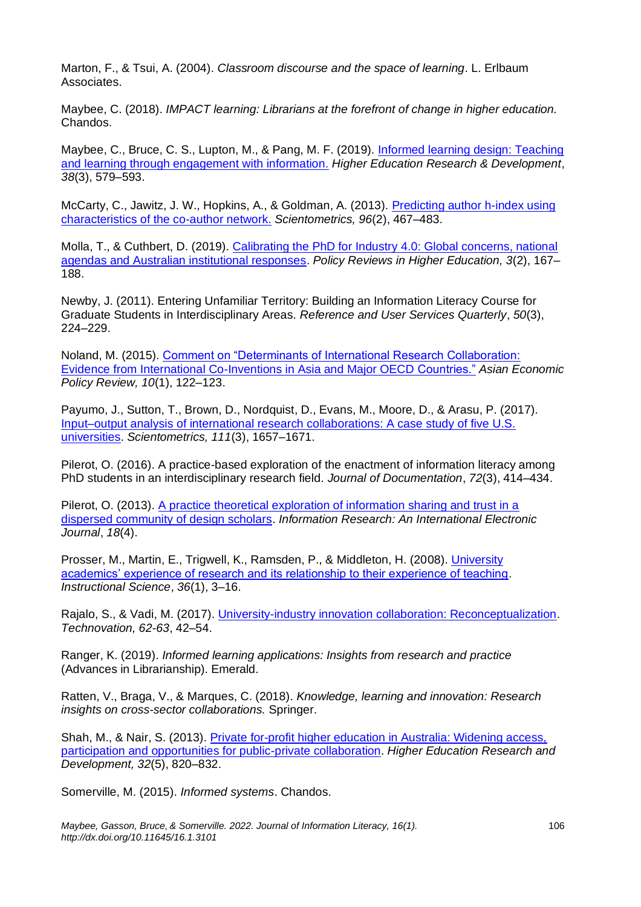Marton, F., & Tsui, A. (2004). *Classroom discourse and the space of learning*. L. Erlbaum Associates.

Maybee, C. (2018). *IMPACT learning: Librarians at the forefront of change in higher education.*  Chandos.

Maybee, C., Bruce, C. S., Lupton, M., & Pang, M. F. (2019). [Informed learning design: Teaching](https://doi.org/10.1080/07294360.2018.1545748)  [and learning through engagement with information.](https://doi.org/10.1080/07294360.2018.1545748) *Higher Education Research & Development*, *38*(3), 579–593.

McCarty, C., Jawitz, J. W., Hopkins, A., & Goldman, A. (2013). [Predicting author h-index using](https://doi.org/10.1007/s11192-012-0933-0)  [characteristics of the co-author network.](https://doi.org/10.1007/s11192-012-0933-0) *Scientometrics, 96*(2), 467–483.

Molla, T., & Cuthbert, D. (2019). [Calibrating the PhD for Industry 4.0: Global concerns, national](https://doi.org/10.1080/23322969.2019.1637772)  [agendas and Australian institutional responses.](https://doi.org/10.1080/23322969.2019.1637772) *Policy Reviews in Higher Education, 3*(2), 167– 188.

Newby, J. (2011). Entering Unfamiliar Territory: Building an Information Literacy Course for Graduate Students in Interdisciplinary Areas. *Reference and User Services Quarterly*, *50*(3), 224–229.

Noland, M. (2015). [Comment on "Determinants of International Research Collaboration:](https://doi.org/10.1111/aepr.12089)  [Evidence from International Co-Inventions in Asia and Major OECD Countries."](https://doi.org/10.1111/aepr.12089) *Asian Economic Policy Review, 10*(1), 122–123.

Payumo, J., Sutton, T., Brown, D., Nordquist, D., Evans, M., Moore, D., & Arasu, P. (2017). [Input–output analysis of international research collaborations: A case study of five U.S.](https://doi.org/10.1007/s11192-017-2313-2)  [universities.](https://doi.org/10.1007/s11192-017-2313-2) *Scientometrics, 111*(3), 1657–1671.

Pilerot, O. (2016). A practice-based exploration of the enactment of information literacy among PhD students in an interdisciplinary research field. *Journal of Documentation*, *72*(3), 414–434.

Pilerot, O. (2013). [A practice theoretical exploration of information sharing and trust in a](http://informationr.net/ir/18-4/paper595.html)  [dispersed community of design scholars.](http://informationr.net/ir/18-4/paper595.html) *Information Research: An International Electronic Journal*, *18*(4).

Prosser, M., Martin, E., Trigwell, K., Ramsden, P., & Middleton, H. (2008). [University](https://doi.org/10.1007/S11251-007-9019-4)  [academics' experience of research and its relationship to their experience of teaching.](https://doi.org/10.1007/S11251-007-9019-4) *Instructional Science*, *36*(1), 3–16.

Rajalo, S., & Vadi, M. (2017). [University-industry innovation collaboration: Reconceptualization.](https://doi.org/10.1007/s11573-018-0916-6) *Technovation, 62-63*, 42–54.

Ranger, K. (2019). *Informed learning applications: Insights from research and practice*  (Advances in Librarianship). Emerald.

Ratten, V., Braga, V., & Marques, C. (2018). *Knowledge, learning and innovation: Research insights on cross-sector collaborations.* Springer.

Shah, M., & Nair, S. (2013). [Private for-profit higher education in Australia: Widening access,](https://doi.org/10.1080/07294360.2013.777030)  [participation and opportunities for public-private collaboration.](https://doi.org/10.1080/07294360.2013.777030) *Higher Education Research and Development, 32*(5), 820–832.

Somerville, M. (2015). *Informed systems*. Chandos.